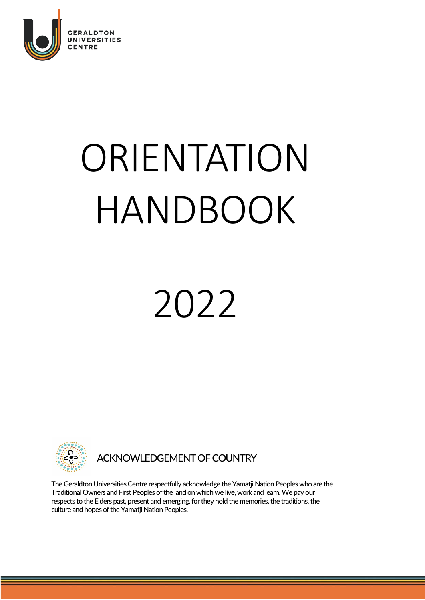

# ORIENTATION HANDBOOK

## 2022



ACKNOWLEDGEMENT OF COUNTRY

The Geraldton Universities Centre respectfully acknowledge the Yamatji Nation Peoples who are the Traditional Owners and First Peoples of the land on which we live, work and learn. We pay our respects to the Elders past, present and emerging, for they hold the memories, the traditions, the culture and hopes of the Yamatji Nation Peoples.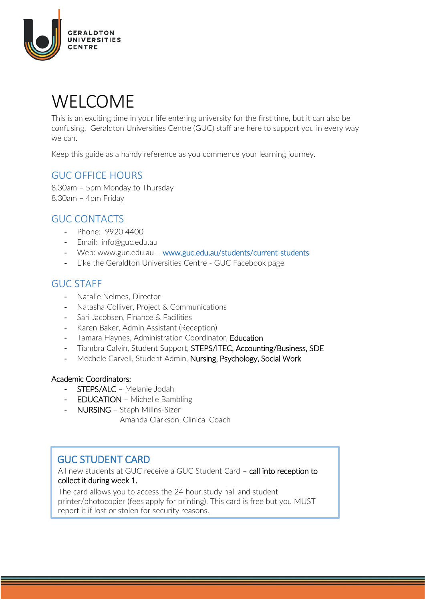

### WELCOME

This is an exciting time in your life entering university for the first time, but it can also be confusing. Geraldton Universities Centre (GUC) staff are here to support you in every way we can.

Keep this guide as a handy reference as you commence your learning journey.

#### GUC OFFICE HOURS

8.30am – 5pm Monday to Thursday 8.30am – 4pm Friday

#### GUC CONTACTS

- Phone: 9920 4400
- Email: [info@guc.edu.au](mailto:info@guc.edu.au)
- Web: [www.guc.edu.au](http://www.guc.edu.au/) www.guc.edu.au/students/current-students
- Like the Geraldton Universities Centre GUC Facebook page

#### GUC STAFF

- Natalie Nelmes, Director
- Natasha Colliver, Project & Communications
- Sari Jacobsen, Finance & Facilities
- Karen Baker, Admin Assistant (Reception)
- Tamara Haynes, Administration Coordinator, Education
- Tiambra Calvin, Student Support, STEPS/ITEC, Accounting/Business, SDE
- Mechele Carvell, Student Admin, Nursing, Psychology, Social Work

#### Academic Coordinators:

- STEPS/ALC Melanie Jodah
- EDUCATION Michelle Bambling
- NURSING Steph Millns-Sizer
	- Amanda Clarkson, Clinical Coach

GUC STUDENT CARD<br>All new students at GUC receive a GUC Student Card – call into reception to collect it during week 1.

The card allows you to access the 24 hour study hall and student printer/photocopier (fees apply for printing). This card is free but you MUST report it if lost or stolen for security reasons.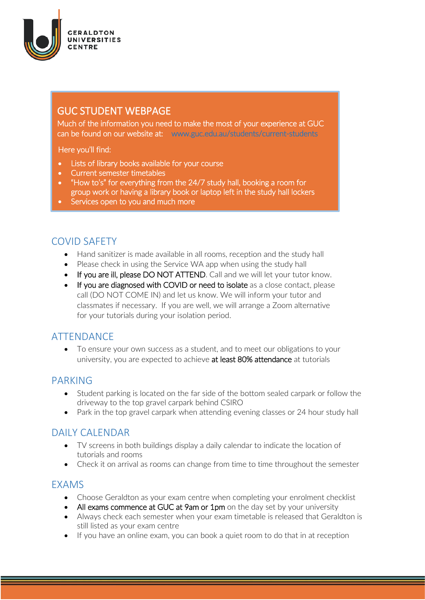

### GUC STUDENT WEBPAGE

Much of the information you need to make the most of your experience at GUC can be found on our website at: www.guc.edu.au/students/current-students

Here you'll find:

- Lists of library books available for your course
- Current semester timetables
- "How to's" for everything from the 24/7 study hall, booking a room for group work or having a library book or laptop left in the study hall lockers
- Services open to you and much more

#### COVID SAFETY

- Hand sanitizer is made available in all rooms, reception and the study hall
- Please check in using the Service WA app when using the study hall
- If you are ill, please DO NOT ATTEND. Call and we will let your tutor know.
- If you are diagnosed with COVID or need to isolate as a close contact, please call (DO NOT COME IN) and let us know. We will inform your tutor and classmates if necessary. If you are well, we will arrange a Zoom alternative for your tutorials during your isolation period.

#### ATTENDANCE

• To ensure your own success as a student, and to meet our obligations to your university, you are expected to achieve at least 80% attendance at tutorials

#### PARKING

- Student parking is located on the far side of the bottom sealed carpark or follow the driveway to the top gravel carpark behind CSIRO
- Park in the top gravel carpark when attending evening classes or 24 hour study hall

#### DAILY CALENDAR

- TV screens in both buildings display a daily calendar to indicate the location of tutorials and rooms
- Check it on arrival as rooms can change from time to time throughout the semester

#### EXAMS

- Choose Geraldton as your exam centre when completing your enrolment checklist
- All exams commence at GUC at 9am or 1pm on the day set by your university
- Always check each semester when your exam timetable is released that Geraldton is still listed as your exam centre
- If you have an online exam, you can book a quiet room to do that in at reception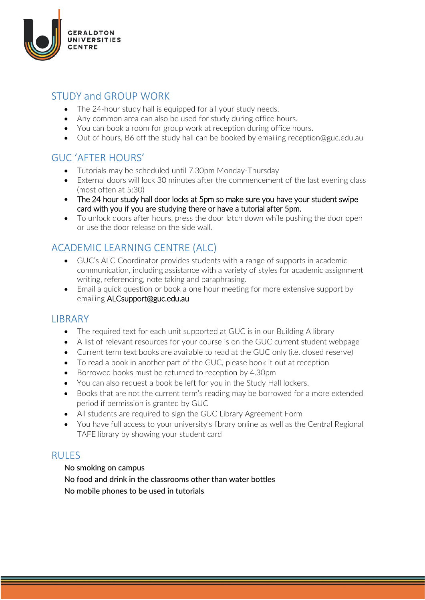

#### STUDY and GROUP WORK

- The 24-hour study hall is equipped for all your study needs.
- Any common area can also be used for study during office hours.
- You can book a room for group work at reception during office hours.
- Out of hours, B6 off the study hall can be booked by emailing reception@guc.edu.au

#### GUC 'AFTER HOURS'

- Tutorials may be scheduled until 7.30pm Monday-Thursday
- External doors will lock 30 minutes after the commencement of the last evening class (most often at 5:30)
- The 24 hour study hall door locks at 5pm so make sure you have your student swipe card with you if you are studying there or have a tutorial after 5pm.
- To unlock doors after hours, press the door latch down while pushing the door open or use the door release on the side wall.

#### ACADEMIC LEARNING CENTRE (ALC)

- GUC's ALC Coordinator provides students with a range of supports in academic communication, including assistance with a variety of styles for academic assignment writing, referencing, note taking and paraphrasing.
- Email a quick question or book a one hour meeting for more extensive support by emailing [ALCsupport@guc.edu.au](mailto:ALCsupport@guc.edu.au)

#### **LIBRARY**

- The required text for each unit supported at GUC is in our Building A library
- A list of relevant resources for your course is on the GUC current student webpage
- Current term text books are available to read at the GUC only (i.e. closed reserve)
- To read a book in another part of the GUC, please book it out at reception
- Borrowed books must be returned to reception by 4.30pm
- You can also request a book be left for you in the Study Hall lockers.
- Books that are not the current term's reading may be borrowed for a more extended period if permission is granted by GUC
- All students are required to sign the GUC Library Agreement Form
- You have full access to your university's library online as well as the Central Regional TAFE library by showing your student card

#### RULES

#### No smoking on campus

No food and drink in the classrooms other than water bottles No mobile phones to be used in tutorials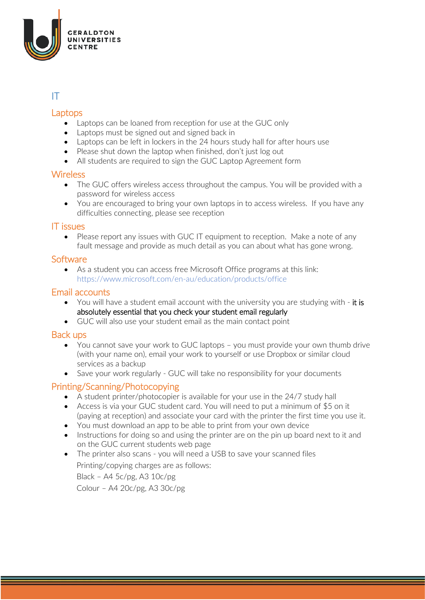

#### IT

#### Laptops

- Laptops can be loaned from reception for use at the GUC only
- Laptops must be signed out and signed back in
- Laptops can be left in lockers in the 24 hours study hall for after hours use
- Please shut down the laptop when finished, don't just log out
- All students are required to sign the GUC Laptop Agreement form

#### **Wireless**

- The GUC offers wireless access throughout the campus. You will be provided with a password for wireless access
- You are encouraged to bring your own laptops in to access wireless. If you have any difficulties connecting, please see reception

#### IT issues

• Please report any issues with GUC IT equipment to reception. Make a note of any fault message and provide as much detail as you can about what has gone wrong.

#### **Software**

• As a student you can access free Microsoft Office programs at this link: <https://www.microsoft.com/en-au/education/products/office>

#### Email accounts

- You will have a student email account with the university you are studying with it is absolutely essential that you check your student email regularly
- GUC will also use your student email as the main contact point

#### Back ups

- You cannot save your work to GUC laptops you must provide your own thumb drive (with your name on), email your work to yourself or use Dropbox or similar cloud services as a backup
- Save your work regularly GUC will take no responsibility for your documents

#### Printing/Scanning/Photocopying

- A student printer/photocopier is available for your use in the 24/7 study hall
- Access is via your GUC student card. You will need to put a minimum of \$5 on it (paying at reception) and associate your card with the printer the first time you use it.
- You must download an app to be able to print from your own device
- Instructions for doing so and using the printer are on the pin up board next to it and on the GUC current students web page
- The printer also scans you will need a USB to save your scanned files Printing/copying charges are as follows:

Black – A4 5c/pg, A3 10c/pg Colour – A4 20c/pg, A3 30c/pg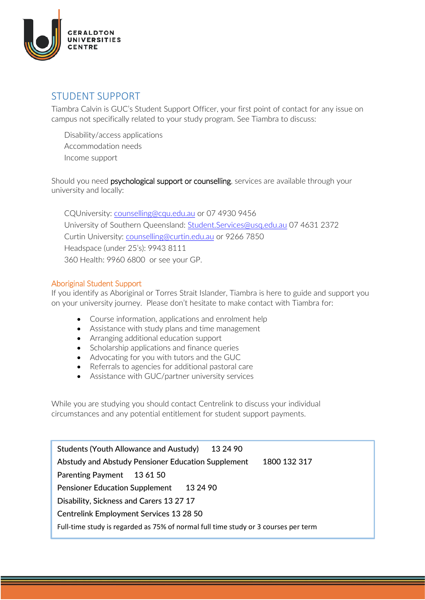

#### STUDENT SUPPORT

Tiambra Calvin is GUC's Student Support Officer, your first point of contact for any issue on campus not specifically related to your study program. See Tiambra to discuss:

Disability/access applications Accommodation needs Income support

Should you need psychological support or counselling, services are available through your university and locally:

CQUniversity: [counselling@cqu.edu.au](mailto:counselling@cqu.edu.au) or 07 4930 9456 University of Southern Queensland: [Student.Services@usq.edu.au](mailto:Student.Services@usq.edu.au) 07 4631 2372 Curtin University: [counselling@curtin.edu.au](mailto:counselling@curtin.edu.au) or 9266 7850 Headspace (under 25's): 9943 8111 360 Health: 9960 6800 or see your GP.

#### Aboriginal Student Support

If you identify as Aboriginal or Torres Strait Islander, Tiambra is here to guide and support you on your university journey. Please don't hesitate to make contact with Tiambra for:

- Course information, applications and enrolment help
- Assistance with study plans and time management
- Arranging additional education support
- Scholarship applications and finance queries
- Advocating for you with tutors and the GUC
- Referrals to agencies for additional pastoral care
- Assistance with GUC/partner university services

While you are studying you should contact Centrelink to discuss your individual circumstances and any potential entitlement for student support payments.

Students (Youth Allowance and Austudy) 13 24 90 Abstudy and Abstudy Pensioner Education Supplement 1800 132 317 Parenting Payment 13 61 50 Pensioner Education Supplement 13 24 90 Disability, Sickness and Carers 13 27 17 Centrelink Employment Services 13 28 50 Full-time study is regarded as 75% of normal full time study or 3 courses per term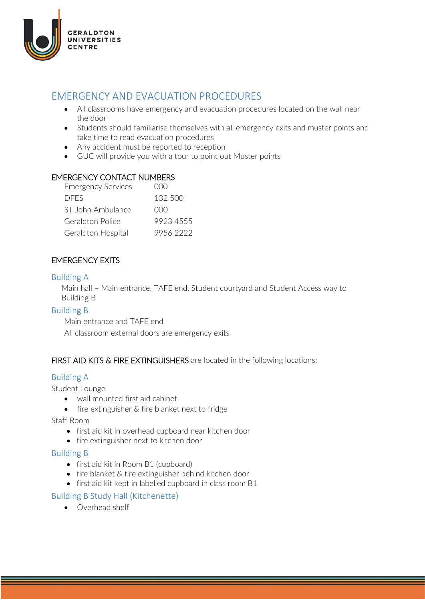

#### EMERGENCY AND EVACUATION PROCEDURES

- All classrooms have emergency and evacuation procedures located on the wall near the door
- Students should familiarise themselves with all emergency exits and muster points and take time to read evacuation procedures
- Any accident must be reported to reception
- GUC will provide you with a tour to point out Muster points

#### EMERGENCY CONTACT NUMBERS

| <b>Emergency Services</b> | 000       |
|---------------------------|-----------|
| <b>DEES</b>               | 132 500   |
| ST John Ambulance         | 000       |
| Geraldton Police          | 9923 4555 |
| Geraldton Hospital        | 99562222  |
|                           |           |

#### EMERGENCY EXITS

#### Building A

Main hall – Main entrance, TAFE end, Student courtyard and Student Access way to Building B

#### Building B

Main entrance and TAFE end

All classroom external doors are emergency exits

#### FIRST AID KITS & FIRE EXTINGUISHERS are located in the following locations:

#### Building A

Student Lounge

- wall mounted first aid cabinet
- fire extinguisher & fire blanket next to fridge

Staff Room

- first aid kit in overhead cupboard near kitchen door
- fire extinguisher next to kitchen door

#### Building B

- first aid kit in Room B1 (cupboard)
- fire blanket & fire extinguisher behind kitchen door
- first aid kit kept in labelled cupboard in class room B1

#### Building B Study Hall (Kitchenette)

• Overhead shelf